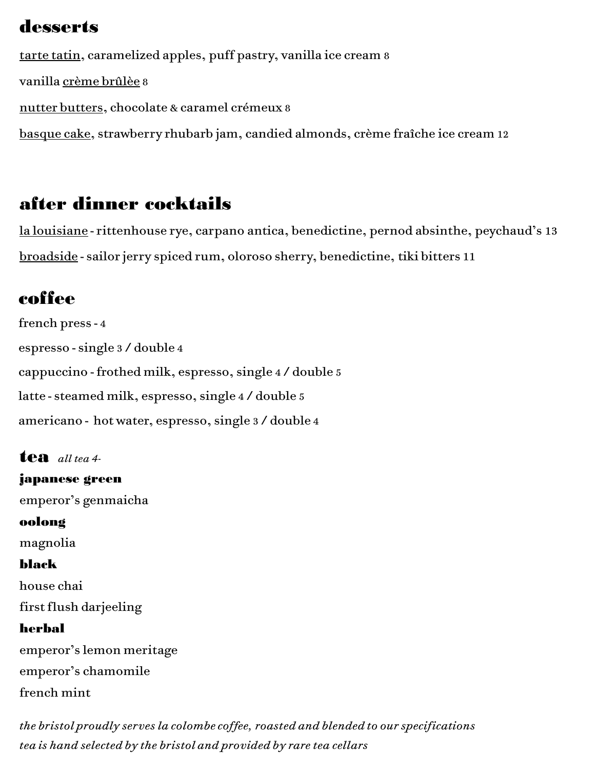## desserts

tarte tatin, caramelized apples, puff pastry, vanilla ice cream 8 vanilla crème brûlèe 8 nutter butters, chocolate & caramel crémeux 8 basque cake, strawberry rhubarb jam, candied almonds, crème fraîche ice cream 12

# after dinner cocktails

la louisiane - rittenhouse rye, carpano antica, benedictine, pernod absinthe, peychaud's 13 broadside - sailor jerry spiced rum, oloroso sherry, benedictine, tiki bitters 11

# coffee

french press - 4 espresso - single 3 / double 4 cappuccino - frothed milk, espresso, single 4 / double 5 latte - steamed milk, espresso, single 4 / double 5 americano - hot water, espresso, single 3 / double 4

## tea *all tea 4-*

japanese green emperor's genmaicha oolong magnolia black house chai first flush darjeeling herbal emperor's lemon meritage emperor's chamomile french mint

*the bristol proudly serves la colombe coffee, roasted and blended to our specifications tea is hand selected by the bristol and provided by rare tea cellars*